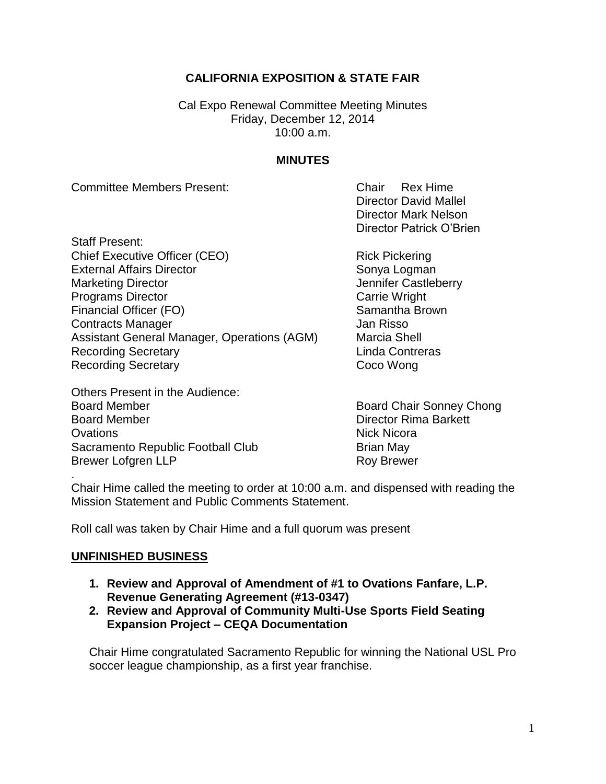# **CALIFORNIA EXPOSITION & STATE FAIR**

Cal Expo Renewal Committee Meeting Minutes Friday, December 12, 2014 10:00 a.m.

### **MINUTES**

Committee Members Present: Chair Rex Hime

Director David Mallel Director Mark Nelson Director Patrick O'Brien

Staff Present: Chief Executive Officer (CEO) Rick Pickering External Affairs Director Sonya Logman Marketing Director **Marketing Director** And Tennifer Castleberry **Programs Director** Carrie Wright Financial Officer (FO) Samantha Brown **Contracts Manager Contracts Manager** Jan Risso Assistant General Manager, Operations (AGM) Marcia Shell Recording Secretary **Contress** Linda Contreras Recording Secretary **Coco Wong** 

Others Present in the Audience: Board Member **Board Chair Sonney Chong** Board Member **Director Rima Barkett** Ovations Nick Nicora Sacramento Republic Football Club Brian May Brewer Lofgren LLP **Roy Brewer** Roy Brewer

Chair Hime called the meeting to order at 10:00 a.m. and dispensed with reading the Mission Statement and Public Comments Statement.

Roll call was taken by Chair Hime and a full quorum was present

#### **UNFINISHED BUSINESS**

.

- **1. Review and Approval of Amendment of #1 to Ovations Fanfare, L.P. Revenue Generating Agreement (#13-0347)**
- **2. Review and Approval of Community Multi-Use Sports Field Seating Expansion Project – CEQA Documentation**

Chair Hime congratulated Sacramento Republic for winning the National USL Pro soccer league championship, as a first year franchise.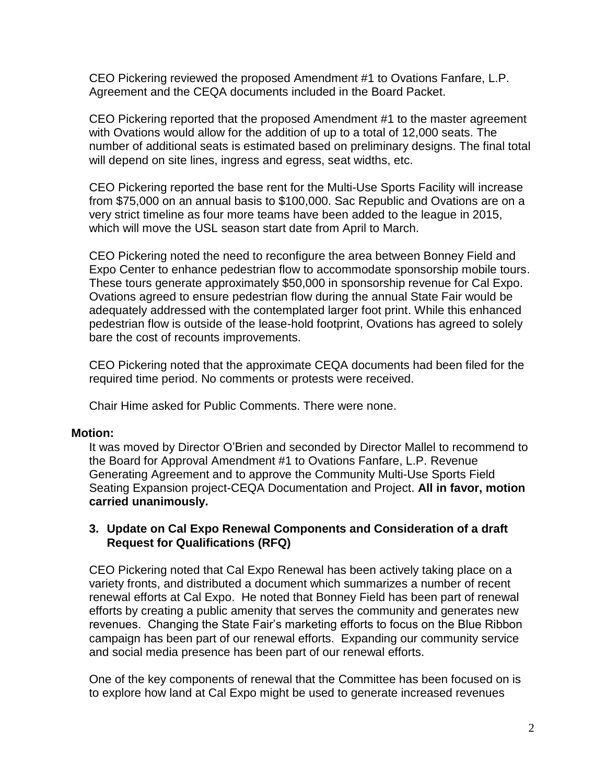CEO Pickering reviewed the proposed Amendment #1 to Ovations Fanfare, L.P. Agreement and the CEQA documents included in the Board Packet.

CEO Pickering reported that the proposed Amendment #1 to the master agreement with Ovations would allow for the addition of up to a total of 12,000 seats. The number of additional seats is estimated based on preliminary designs. The final total will depend on site lines, ingress and egress, seat widths, etc.

CEO Pickering reported the base rent for the Multi-Use Sports Facility will increase from \$75,000 on an annual basis to \$100,000. Sac Republic and Ovations are on a very strict timeline as four more teams have been added to the league in 2015, which will move the USL season start date from April to March.

CEO Pickering noted the need to reconfigure the area between Bonney Field and Expo Center to enhance pedestrian flow to accommodate sponsorship mobile tours. These tours generate approximately \$50,000 in sponsorship revenue for Cal Expo. Ovations agreed to ensure pedestrian flow during the annual State Fair would be adequately addressed with the contemplated larger foot print. While this enhanced pedestrian flow is outside of the lease-hold footprint, Ovations has agreed to solely bare the cost of recounts improvements.

CEO Pickering noted that the approximate CEQA documents had been filed for the required time period. No comments or protests were received.

Chair Hime asked for Public Comments. There were none.

## **Motion:**

It was moved by Director O'Brien and seconded by Director Mallel to recommend to the Board for Approval Amendment #1 to Ovations Fanfare, L.P. Revenue Generating Agreement and to approve the Community Multi-Use Sports Field Seating Expansion project-CEQA Documentation and Project. **All in favor, motion carried unanimously.**

## **3. Update on Cal Expo Renewal Components and Consideration of a draft Request for Qualifications (RFQ)**

CEO Pickering noted that Cal Expo Renewal has been actively taking place on a variety fronts, and distributed a document which summarizes a number of recent renewal efforts at Cal Expo. He noted that Bonney Field has been part of renewal efforts by creating a public amenity that serves the community and generates new revenues. Changing the State Fair's marketing efforts to focus on the Blue Ribbon campaign has been part of our renewal efforts. Expanding our community service and social media presence has been part of our renewal efforts.

One of the key components of renewal that the Committee has been focused on is to explore how land at Cal Expo might be used to generate increased revenues